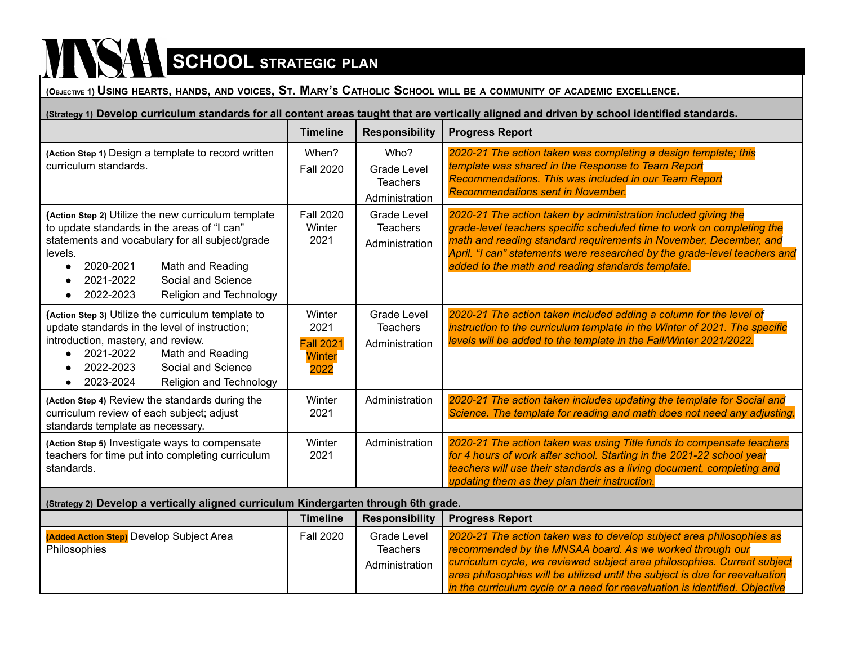## $\sum_{i=1}^{n}$

(OBJECTIVE 1) USING HEARTS, HANDS, AND VOICES, ST. MARY'S CATHOLIC SCHOOL WILL BE A COMMUNITY OF ACADEMIC EXCELLENCE.

(Strategy 1) Develop curriculum standards for all content areas taught that are vertically aligned and driven by school identified standards.

|                                                                                                                                                                                                                                                                              | <b>Timeline</b>                                      | <b>Responsibility</b>                                           | <b>Progress Report</b>                                                                                                                                                                                                                                                                                                                          |
|------------------------------------------------------------------------------------------------------------------------------------------------------------------------------------------------------------------------------------------------------------------------------|------------------------------------------------------|-----------------------------------------------------------------|-------------------------------------------------------------------------------------------------------------------------------------------------------------------------------------------------------------------------------------------------------------------------------------------------------------------------------------------------|
| (Action Step 1) Design a template to record written<br>curriculum standards.                                                                                                                                                                                                 | When?<br><b>Fall 2020</b>                            | Who?<br><b>Grade Level</b><br><b>Teachers</b><br>Administration | 2020-21 The action taken was completing a design template; this<br>template was shared in the Response to Team Report<br>Recommendations. This was included in our Team Report<br><b>Recommendations sent in November.</b>                                                                                                                      |
| (Action Step 2) Utilize the new curriculum template<br>to update standards in the areas of "I can"<br>statements and vocabulary for all subject/grade<br>levels.<br>2020-2021<br>Math and Reading<br>Social and Science<br>2021-2022<br>Religion and Technology<br>2022-2023 | <b>Fall 2020</b><br>Winter<br>2021                   | <b>Grade Level</b><br><b>Teachers</b><br>Administration         | 2020-21 The action taken by administration included giving the<br>grade-level teachers specific scheduled time to work on completing the<br>math and reading standard requirements in November, December, and<br>April. "I can" statements were researched by the grade-level teachers and<br>added to the math and reading standards template. |
| (Action Step 3) Utilize the curriculum template to<br>update standards in the level of instruction;<br>introduction, mastery, and review.<br>2021-2022<br>Math and Reading<br>Social and Science<br>2022-2023<br>2023-2024<br>Religion and Technology                        | Winter<br>2021<br><b>Fall 2021</b><br>Winter<br>2022 | <b>Grade Level</b><br><b>Teachers</b><br>Administration         | 2020-21 The action taken included adding a column for the level of<br>instruction to the curriculum template in the Winter of 2021. The specific<br>levels will be added to the template in the Fall/Winter 2021/2022.                                                                                                                          |
| (Action Step 4) Review the standards during the<br>curriculum review of each subject; adjust<br>standards template as necessary.                                                                                                                                             | Winter<br>2021                                       | Administration                                                  | 2020-21 The action taken includes updating the template for Social and<br>Science. The template for reading and math does not need any adjusting.                                                                                                                                                                                               |
| (Action Step 5) Investigate ways to compensate<br>teachers for time put into completing curriculum<br>standards.                                                                                                                                                             | Winter<br>2021                                       | Administration                                                  | 2020-21 The action taken was using Title funds to compensate teachers<br>for 4 hours of work after school. Starting in the 2021-22 school year<br>teachers will use their standards as a living document, completing and<br>updating them as they plan their instruction.                                                                       |
| (Strategy 2) Develop a vertically aligned curriculum Kindergarten through 6th grade.                                                                                                                                                                                         |                                                      |                                                                 |                                                                                                                                                                                                                                                                                                                                                 |
|                                                                                                                                                                                                                                                                              | <b>Timeline</b>                                      | <b>Responsibility</b>                                           | <b>Progress Report</b>                                                                                                                                                                                                                                                                                                                          |

|                                                                       | .                | ----------------                                 |                                                                                                                                                                                                                                                                                                                                                                             |
|-----------------------------------------------------------------------|------------------|--------------------------------------------------|-----------------------------------------------------------------------------------------------------------------------------------------------------------------------------------------------------------------------------------------------------------------------------------------------------------------------------------------------------------------------------|
| <b>Added Action Step)</b> Develop Subject Area<br><b>Philosophies</b> | <b>Fall 2020</b> | Grade Level<br><b>Teachers</b><br>Administration | 2020-21 The action taken was to develop subject area philosophies as<br>recommended by the MNSAA board. As we worked through our<br>curriculum cycle, we reviewed subject area philosophies. Current subject<br>area philosophies will be utilized until the subject is due for reevaluation<br>in the curriculum cycle or a need for reevaluation is identified. Objective |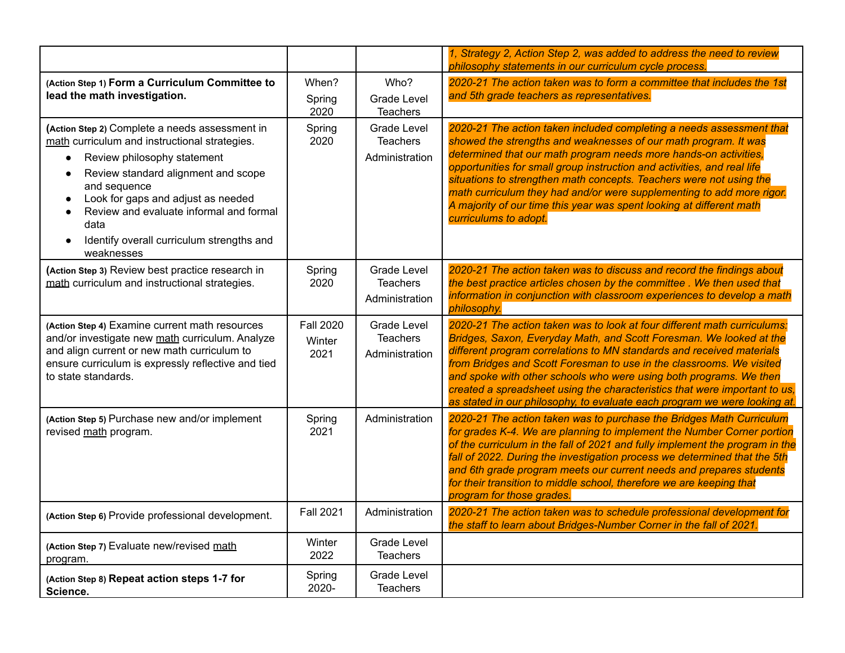|                                                                                                                                                                                                                                                                                                                                                                     |                                    |                                                         | 1, Strategy 2, Action Step 2, was added to address the need to review<br>philosophy statements in our curriculum cycle process.                                                                                                                                                                                                                                                                                                                                                                                                         |
|---------------------------------------------------------------------------------------------------------------------------------------------------------------------------------------------------------------------------------------------------------------------------------------------------------------------------------------------------------------------|------------------------------------|---------------------------------------------------------|-----------------------------------------------------------------------------------------------------------------------------------------------------------------------------------------------------------------------------------------------------------------------------------------------------------------------------------------------------------------------------------------------------------------------------------------------------------------------------------------------------------------------------------------|
| (Action Step 1) Form a Curriculum Committee to<br>lead the math investigation.                                                                                                                                                                                                                                                                                      | When?<br>Spring<br>2020            | Who?<br><b>Grade Level</b><br><b>Teachers</b>           | 2020-21 The action taken was to form a committee that includes the 1st<br>and 5th grade teachers as representatives.                                                                                                                                                                                                                                                                                                                                                                                                                    |
| (Action Step 2) Complete a needs assessment in<br>math curriculum and instructional strategies.<br>Review philosophy statement<br>Review standard alignment and scope<br>$\bullet$<br>and sequence<br>Look for gaps and adjust as needed<br>$\bullet$<br>Review and evaluate informal and formal<br>data<br>Identify overall curriculum strengths and<br>weaknesses | Spring<br>2020                     | <b>Grade Level</b><br><b>Teachers</b><br>Administration | 2020-21 The action taken included completing a needs assessment that<br>showed the strengths and weaknesses of our math program. It was<br>determined that our math program needs more hands-on activities,<br>opportunities for small group instruction and activities, and real life<br>situations to strengthen math concepts. Teachers were not using the<br>math curriculum they had and/or were supplementing to add more rigor.<br>A majority of our time this year was spent looking at different math<br>curriculums to adopt. |
| (Action Step 3) Review best practice research in<br>math curriculum and instructional strategies.                                                                                                                                                                                                                                                                   | Spring<br>2020                     | <b>Grade Level</b><br><b>Teachers</b><br>Administration | 2020-21 The action taken was to discuss and record the findings about<br>the best practice articles chosen by the committee. We then used that<br>information in conjunction with classroom experiences to develop a math<br>philosophy.                                                                                                                                                                                                                                                                                                |
| (Action Step 4) Examine current math resources<br>and/or investigate new math curriculum. Analyze<br>and align current or new math curriculum to<br>ensure curriculum is expressly reflective and tied<br>to state standards.                                                                                                                                       | <b>Fall 2020</b><br>Winter<br>2021 | <b>Grade Level</b><br><b>Teachers</b><br>Administration | 2020-21 The action taken was to look at four different math curriculums:<br>Bridges, Saxon, Everyday Math, and Scott Foresman. We looked at the<br>different program correlations to MN standards and received materials<br>from Bridges and Scott Foresman to use in the classrooms. We visited<br>and spoke with other schools who were using both programs. We then<br>created a spreadsheet using the characteristics that were important to us,<br>as stated in our philosophy, to evaluate each program we were looking at.       |
| (Action Step 5) Purchase new and/or implement<br>revised math program.                                                                                                                                                                                                                                                                                              | Spring<br>2021                     | Administration                                          | 2020-21 The action taken was to purchase the Bridges Math Curriculum<br>for grades K-4. We are planning to implement the Number Corner portion<br>of the curriculum in the fall of 2021 and fully implement the program in the<br>fall of 2022. During the investigation process we determined that the 5th<br>and 6th grade program meets our current needs and prepares students<br>for their transition to middle school, therefore we are keeping that<br>program for those grades.                                                 |
| (Action Step 6) Provide professional development.                                                                                                                                                                                                                                                                                                                   | <b>Fall 2021</b>                   | Administration                                          | 2020-21 The action taken was to schedule professional development for<br>the staff to learn about Bridges-Number Corner in the fall of 2021.                                                                                                                                                                                                                                                                                                                                                                                            |
| (Action Step 7) Evaluate new/revised math<br>program.                                                                                                                                                                                                                                                                                                               | Winter<br>2022                     | <b>Grade Level</b><br><b>Teachers</b>                   |                                                                                                                                                                                                                                                                                                                                                                                                                                                                                                                                         |
| (Action Step 8) Repeat action steps 1-7 for<br>Science.                                                                                                                                                                                                                                                                                                             | Spring<br>2020-                    | <b>Grade Level</b><br><b>Teachers</b>                   |                                                                                                                                                                                                                                                                                                                                                                                                                                                                                                                                         |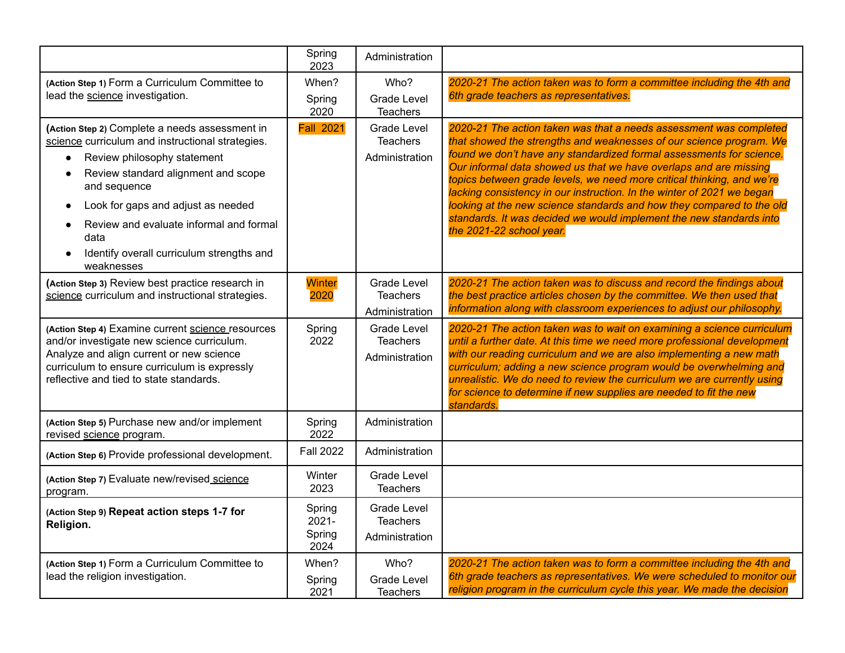|                                                                                                                                                                                                                                                                                                                                                           | Spring<br>2023                       | Administration                                          |                                                                                                                                                                                                                                                                                                                                                                                                                                                                                                                                                                                                                        |
|-----------------------------------------------------------------------------------------------------------------------------------------------------------------------------------------------------------------------------------------------------------------------------------------------------------------------------------------------------------|--------------------------------------|---------------------------------------------------------|------------------------------------------------------------------------------------------------------------------------------------------------------------------------------------------------------------------------------------------------------------------------------------------------------------------------------------------------------------------------------------------------------------------------------------------------------------------------------------------------------------------------------------------------------------------------------------------------------------------------|
| (Action Step 1) Form a Curriculum Committee to<br>lead the science investigation.                                                                                                                                                                                                                                                                         | When?<br>Spring<br>2020              | Who?<br><b>Grade Level</b><br><b>Teachers</b>           | 2020-21 The action taken was to form a committee including the 4th and<br>6th grade teachers as representatives.                                                                                                                                                                                                                                                                                                                                                                                                                                                                                                       |
| (Action Step 2) Complete a needs assessment in<br>science curriculum and instructional strategies.<br>Review philosophy statement<br>Review standard alignment and scope<br>and sequence<br>Look for gaps and adjust as needed<br>$\bullet$<br>Review and evaluate informal and formal<br>data<br>Identify overall curriculum strengths and<br>weaknesses | <b>Fall 2021</b>                     | <b>Grade Level</b><br><b>Teachers</b><br>Administration | 2020-21 The action taken was that a needs assessment was completed<br>that showed the strengths and weaknesses of our science program. We<br>found we don't have any standardized formal assessments for science.<br>Our informal data showed us that we have overlaps and are missing<br>topics between grade levels, we need more critical thinking, and we're<br>lacking consistency in our instruction. In the winter of 2021 we began<br>looking at the new science standards and how they compared to the old<br>standards. It was decided we would implement the new standards into<br>the 2021-22 school year. |
| (Action Step 3) Review best practice research in<br>science curriculum and instructional strategies.                                                                                                                                                                                                                                                      | Winter<br>2020                       | <b>Grade Level</b><br><b>Teachers</b><br>Administration | 2020-21 The action taken was to discuss and record the findings about<br>the best practice articles chosen by the committee. We then used that<br>information along with classroom experiences to adjust our philosophy.                                                                                                                                                                                                                                                                                                                                                                                               |
| (Action Step 4) Examine current science resources<br>and/or investigate new science curriculum.<br>Analyze and align current or new science<br>curriculum to ensure curriculum is expressly<br>reflective and tied to state standards.                                                                                                                    | Spring<br>2022                       | Grade Level<br><b>Teachers</b><br>Administration        | 2020-21 The action taken was to wait on examining a science curriculum<br>until a further date. At this time we need more professional development<br>with our reading curriculum and we are also implementing a new math<br>curriculum; adding a new science program would be overwhelming and<br>unrealistic. We do need to review the curriculum we are currently using<br>for science to determine if new supplies are needed to fit the new<br>standards.                                                                                                                                                         |
| (Action Step 5) Purchase new and/or implement<br>revised science program.                                                                                                                                                                                                                                                                                 | Spring<br>2022                       | Administration                                          |                                                                                                                                                                                                                                                                                                                                                                                                                                                                                                                                                                                                                        |
| (Action Step 6) Provide professional development.                                                                                                                                                                                                                                                                                                         | <b>Fall 2022</b>                     | Administration                                          |                                                                                                                                                                                                                                                                                                                                                                                                                                                                                                                                                                                                                        |
| (Action Step 7) Evaluate new/revised science<br>program.                                                                                                                                                                                                                                                                                                  | Winter<br>2023                       | <b>Grade Level</b><br><b>Teachers</b>                   |                                                                                                                                                                                                                                                                                                                                                                                                                                                                                                                                                                                                                        |
| (Action Step 9) Repeat action steps 1-7 for<br>Religion.                                                                                                                                                                                                                                                                                                  | Spring<br>$2021 -$<br>Spring<br>2024 | Grade Level<br><b>Teachers</b><br>Administration        |                                                                                                                                                                                                                                                                                                                                                                                                                                                                                                                                                                                                                        |
| (Action Step 1) Form a Curriculum Committee to<br>lead the religion investigation.                                                                                                                                                                                                                                                                        | When?<br>Spring<br>2021              | Who?<br><b>Grade Level</b><br><b>Teachers</b>           | 2020-21 The action taken was to form a committee including the 4th and<br>6th grade teachers as representatives. We were scheduled to monitor our<br>religion program in the curriculum cycle this year. We made the decision                                                                                                                                                                                                                                                                                                                                                                                          |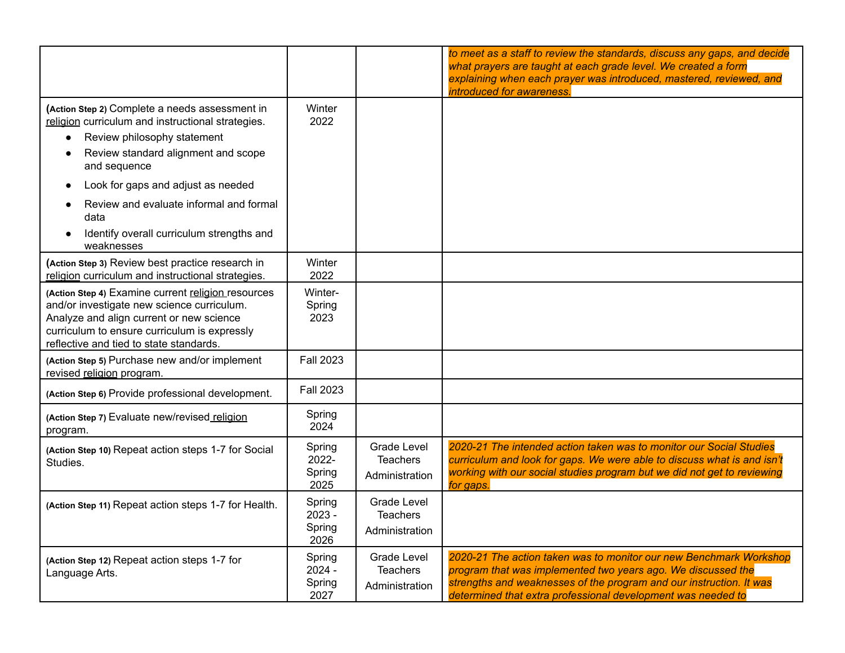|                                                                                                                                                                                                                                                                                                                                                            |                                    |                                                         | to meet as a staff to review the standards, discuss any gaps, and decide<br>what prayers are taught at each grade level. We created a form<br>explaining when each prayer was introduced, mastered, reviewed, and<br>introduced for awareness.                            |
|------------------------------------------------------------------------------------------------------------------------------------------------------------------------------------------------------------------------------------------------------------------------------------------------------------------------------------------------------------|------------------------------------|---------------------------------------------------------|---------------------------------------------------------------------------------------------------------------------------------------------------------------------------------------------------------------------------------------------------------------------------|
| (Action Step 2) Complete a needs assessment in<br>religion curriculum and instructional strategies.<br>Review philosophy statement<br>$\bullet$<br>Review standard alignment and scope<br>and sequence<br>Look for gaps and adjust as needed<br>Review and evaluate informal and formal<br>data<br>Identify overall curriculum strengths and<br>weaknesses | Winter<br>2022                     |                                                         |                                                                                                                                                                                                                                                                           |
| (Action Step 3) Review best practice research in<br>religion curriculum and instructional strategies.                                                                                                                                                                                                                                                      | Winter<br>2022                     |                                                         |                                                                                                                                                                                                                                                                           |
| (Action Step 4) Examine current religion resources<br>and/or investigate new science curriculum.<br>Analyze and align current or new science<br>curriculum to ensure curriculum is expressly<br>reflective and tied to state standards.                                                                                                                    | Winter-<br>Spring<br>2023          |                                                         |                                                                                                                                                                                                                                                                           |
| (Action Step 5) Purchase new and/or implement<br>revised religion program.                                                                                                                                                                                                                                                                                 | <b>Fall 2023</b>                   |                                                         |                                                                                                                                                                                                                                                                           |
| (Action Step 6) Provide professional development.                                                                                                                                                                                                                                                                                                          | <b>Fall 2023</b>                   |                                                         |                                                                                                                                                                                                                                                                           |
| (Action Step 7) Evaluate new/revised religion<br>program.                                                                                                                                                                                                                                                                                                  | Spring<br>2024                     |                                                         |                                                                                                                                                                                                                                                                           |
| (Action Step 10) Repeat action steps 1-7 for Social<br>Studies.                                                                                                                                                                                                                                                                                            | Spring<br>2022-<br>Spring<br>2025  | Grade Level<br><b>Teachers</b><br>Administration        | 2020-21 The intended action taken was to monitor our Social Studies<br>curriculum and look for gaps. We were able to discuss what is and isn't<br>working with our social studies program but we did not get to reviewing<br>for gaps.                                    |
| (Action Step 11) Repeat action steps 1-7 for Health.                                                                                                                                                                                                                                                                                                       | Spring<br>2023 -<br>Spring<br>2026 | <b>Grade Level</b><br><b>Teachers</b><br>Administration |                                                                                                                                                                                                                                                                           |
| (Action Step 12) Repeat action steps 1-7 for<br>Language Arts.                                                                                                                                                                                                                                                                                             | Spring<br>2024 -<br>Spring<br>2027 | <b>Grade Level</b><br><b>Teachers</b><br>Administration | 2020-21 The action taken was to monitor our new Benchmark Workshop<br>program that was implemented two years ago. We discussed the<br>strengths and weaknesses of the program and our instruction. It was<br>determined that extra professional development was needed to |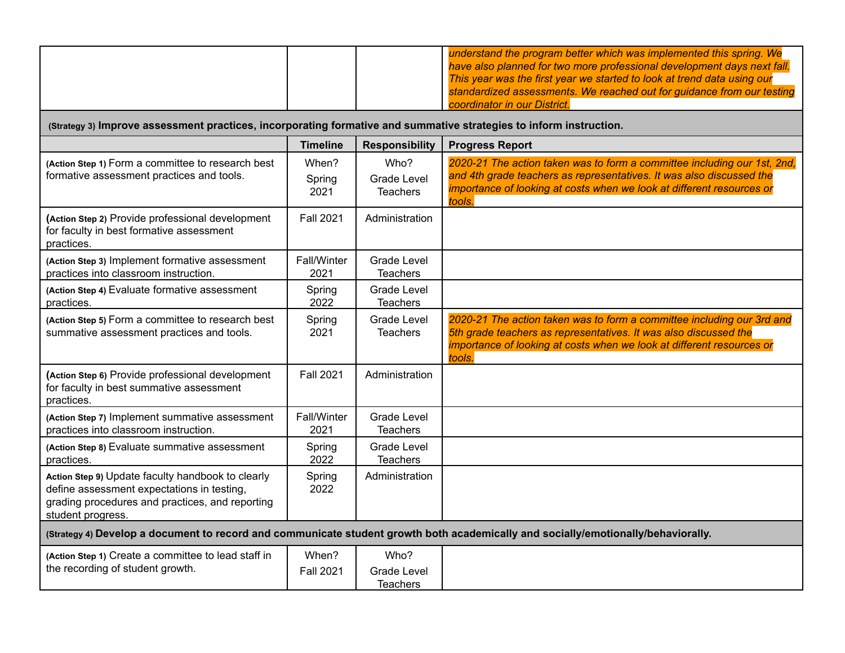|                                                                                                                                                                         |                           |                                               | understand the program better which was implemented this spring. We<br>have also planned for two more professional development days next fall.<br>This year was the first year we started to look at trend data using our<br>standardized assessments. We reached out for guidance from our testing<br>coordinator in our District. |
|-------------------------------------------------------------------------------------------------------------------------------------------------------------------------|---------------------------|-----------------------------------------------|-------------------------------------------------------------------------------------------------------------------------------------------------------------------------------------------------------------------------------------------------------------------------------------------------------------------------------------|
| (Strategy 3) Improve assessment practices, incorporating formative and summative strategies to inform instruction.                                                      |                           |                                               |                                                                                                                                                                                                                                                                                                                                     |
|                                                                                                                                                                         | <b>Timeline</b>           | <b>Responsibility</b>                         | <b>Progress Report</b>                                                                                                                                                                                                                                                                                                              |
| (Action Step 1) Form a committee to research best<br>formative assessment practices and tools.                                                                          | When?<br>Spring<br>2021   | Who?<br><b>Grade Level</b><br><b>Teachers</b> | 2020-21 The action taken was to form a committee including our 1st, 2nd,<br>and 4th grade teachers as representatives. It was also discussed the<br>importance of looking at costs when we look at different resources or<br>tools.                                                                                                 |
| (Action Step 2) Provide professional development<br>for faculty in best formative assessment<br>practices.                                                              | <b>Fall 2021</b>          | Administration                                |                                                                                                                                                                                                                                                                                                                                     |
| (Action Step 3) Implement formative assessment<br>practices into classroom instruction.                                                                                 | Fall/Winter<br>2021       | <b>Grade Level</b><br><b>Teachers</b>         |                                                                                                                                                                                                                                                                                                                                     |
| (Action Step 4) Evaluate formative assessment<br>practices.                                                                                                             | Spring<br>2022            | <b>Grade Level</b><br><b>Teachers</b>         |                                                                                                                                                                                                                                                                                                                                     |
| (Action Step 5) Form a committee to research best<br>summative assessment practices and tools.                                                                          | Spring<br>2021            | Grade Level<br><b>Teachers</b>                | 2020-21 The action taken was to form a committee including our 3rd and<br>5th grade teachers as representatives. It was also discussed the<br>importance of looking at costs when we look at different resources or<br>tools.                                                                                                       |
| (Action Step 6) Provide professional development<br>for faculty in best summative assessment<br>practices.                                                              | <b>Fall 2021</b>          | Administration                                |                                                                                                                                                                                                                                                                                                                                     |
| (Action Step 7) Implement summative assessment<br>practices into classroom instruction.                                                                                 | Fall/Winter<br>2021       | <b>Grade Level</b><br><b>Teachers</b>         |                                                                                                                                                                                                                                                                                                                                     |
| (Action Step 8) Evaluate summative assessment<br>practices.                                                                                                             | Spring<br>2022            | Grade Level<br><b>Teachers</b>                |                                                                                                                                                                                                                                                                                                                                     |
| Action Step 9) Update faculty handbook to clearly<br>define assessment expectations in testing,<br>grading procedures and practices, and reporting<br>student progress. | Spring<br>2022            | Administration                                |                                                                                                                                                                                                                                                                                                                                     |
|                                                                                                                                                                         |                           |                                               | (Strategy 4) Develop a document to record and communicate student growth both academically and socially/emotionally/behaviorally.                                                                                                                                                                                                   |
| (Action Step 1) Create a committee to lead staff in<br>the recording of student growth.                                                                                 | When?<br><b>Fall 2021</b> | Who?<br><b>Grade Level</b><br><b>Teachers</b> |                                                                                                                                                                                                                                                                                                                                     |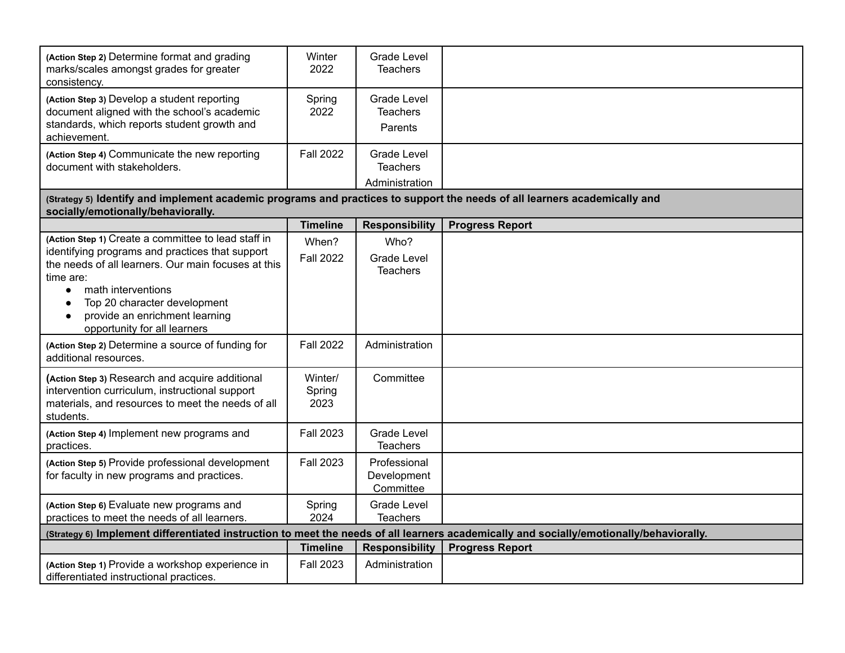| (Action Step 2) Determine format and grading<br>marks/scales amongst grades for greater<br>consistency.                                                                    | Winter<br>2022            | <b>Grade Level</b><br>Teachers                          |                                                                                                                                         |
|----------------------------------------------------------------------------------------------------------------------------------------------------------------------------|---------------------------|---------------------------------------------------------|-----------------------------------------------------------------------------------------------------------------------------------------|
| (Action Step 3) Develop a student reporting<br>document aligned with the school's academic<br>standards, which reports student growth and<br>achievement.                  | Spring<br>2022            | <b>Grade Level</b><br><b>Teachers</b><br>Parents        |                                                                                                                                         |
| (Action Step 4) Communicate the new reporting<br>document with stakeholders.                                                                                               | <b>Fall 2022</b>          | <b>Grade Level</b><br><b>Teachers</b><br>Administration |                                                                                                                                         |
| (Strategy 5) Identify and implement academic programs and practices to support the needs of all learners academically and<br>socially/emotionally/behaviorally.            |                           |                                                         |                                                                                                                                         |
|                                                                                                                                                                            | <b>Timeline</b>           | <b>Responsibility</b>                                   | <b>Progress Report</b>                                                                                                                  |
| (Action Step 1) Create a committee to lead staff in<br>identifying programs and practices that support<br>the needs of all learners. Our main focuses at this<br>time are: | When?<br><b>Fall 2022</b> | Who?<br><b>Grade Level</b><br><b>Teachers</b>           |                                                                                                                                         |
| math interventions<br>$\bullet$<br>Top 20 character development<br>$\bullet$<br>provide an enrichment learning<br>opportunity for all learners                             |                           |                                                         |                                                                                                                                         |
| (Action Step 2) Determine a source of funding for<br>additional resources.                                                                                                 | <b>Fall 2022</b>          | Administration                                          |                                                                                                                                         |
| (Action Step 3) Research and acquire additional<br>intervention curriculum, instructional support<br>materials, and resources to meet the needs of all<br>students.        | Winter/<br>Spring<br>2023 | Committee                                               |                                                                                                                                         |
| (Action Step 4) Implement new programs and<br>practices.                                                                                                                   | <b>Fall 2023</b>          | <b>Grade Level</b><br><b>Teachers</b>                   |                                                                                                                                         |
| (Action Step 5) Provide professional development<br>for faculty in new programs and practices.                                                                             | <b>Fall 2023</b>          | Professional<br>Development<br>Committee                |                                                                                                                                         |
| (Action Step 6) Evaluate new programs and<br>practices to meet the needs of all learners.                                                                                  | Spring<br>2024            | <b>Grade Level</b><br><b>Teachers</b>                   |                                                                                                                                         |
|                                                                                                                                                                            |                           |                                                         | (Strategy 6) Implement differentiated instruction to meet the needs of all learners academically and socially/emotionally/behaviorally. |
|                                                                                                                                                                            | <b>Timeline</b>           | <b>Responsibility</b>                                   | <b>Progress Report</b>                                                                                                                  |
| (Action Step 1) Provide a workshop experience in<br>differentiated instructional practices.                                                                                | <b>Fall 2023</b>          | Administration                                          |                                                                                                                                         |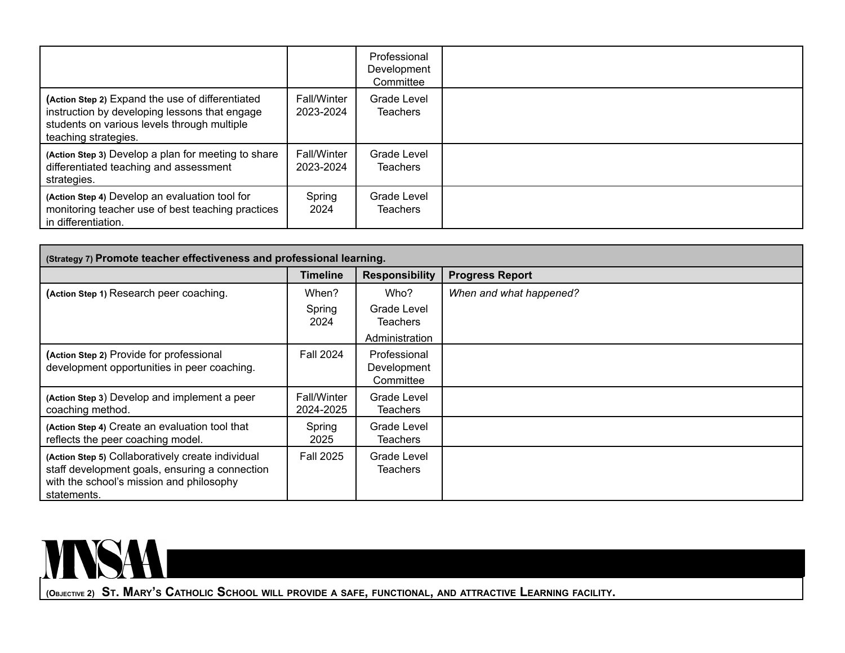|                                                                                                                                                                          |                                 | Professional<br>Development<br>Committee |  |
|--------------------------------------------------------------------------------------------------------------------------------------------------------------------------|---------------------------------|------------------------------------------|--|
| (Action Step 2) Expand the use of differentiated<br>instruction by developing lessons that engage<br>students on various levels through multiple<br>teaching strategies. | <b>Fall/Winter</b><br>2023-2024 | Grade Level<br><b>Teachers</b>           |  |
| (Action Step 3) Develop a plan for meeting to share<br>differentiated teaching and assessment<br>strategies.                                                             | <b>Fall/Winter</b><br>2023-2024 | Grade Level<br><b>Teachers</b>           |  |
| (Action Step 4) Develop an evaluation tool for<br>monitoring teacher use of best teaching practices<br>in differentiation.                                               | Spring<br>2024                  | Grade Level<br>Teachers                  |  |

| (Strategy 7) Promote teacher effectiveness and professional learning.                                                                                          |                                 |                                          |                         |
|----------------------------------------------------------------------------------------------------------------------------------------------------------------|---------------------------------|------------------------------------------|-------------------------|
|                                                                                                                                                                | <b>Timeline</b>                 | <b>Responsibility</b>                    | <b>Progress Report</b>  |
| (Action Step 1) Research peer coaching.                                                                                                                        | When?                           | Who?                                     | When and what happened? |
|                                                                                                                                                                | Spring<br>2024                  | Grade Level<br><b>Teachers</b>           |                         |
|                                                                                                                                                                |                                 | Administration                           |                         |
| (Action Step 2) Provide for professional<br>development opportunities in peer coaching.                                                                        | <b>Fall 2024</b>                | Professional<br>Development<br>Committee |                         |
| (Action Step 3) Develop and implement a peer<br>coaching method.                                                                                               | <b>Fall/Winter</b><br>2024-2025 | Grade Level<br><b>Teachers</b>           |                         |
| (Action Step 4) Create an evaluation tool that<br>reflects the peer coaching model.                                                                            | Spring<br>2025                  | Grade Level<br><b>Teachers</b>           |                         |
| (Action Step 5) Collaboratively create individual<br>staff development goals, ensuring a connection<br>with the school's mission and philosophy<br>statements. | <b>Fall 2025</b>                | Grade Level<br><b>Teachers</b>           |                         |



(OBJECTIVE 2) ST. MARY'S CATHOLIC SCHOOL WILL PROVIDE A SAFE, FUNCTIONAL, AND ATTRACTIVE LEARNING FACILITY.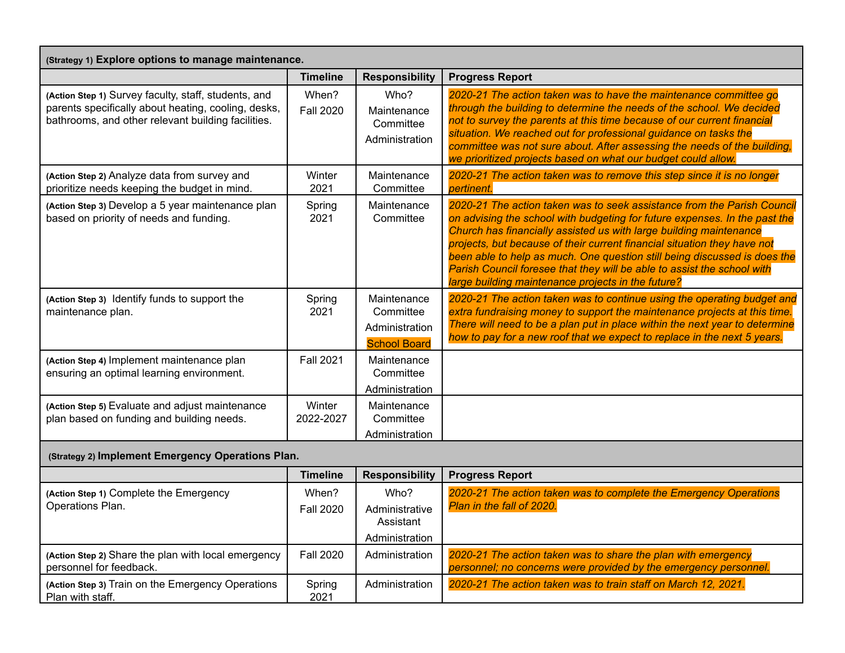| (Strategy 1) Explore options to manage maintenance.                                                                                                               |                           |                                                                   |                                                                                                                                                                                                                                                                                                                                                                                                                                                                                                                       |  |
|-------------------------------------------------------------------------------------------------------------------------------------------------------------------|---------------------------|-------------------------------------------------------------------|-----------------------------------------------------------------------------------------------------------------------------------------------------------------------------------------------------------------------------------------------------------------------------------------------------------------------------------------------------------------------------------------------------------------------------------------------------------------------------------------------------------------------|--|
|                                                                                                                                                                   | <b>Timeline</b>           | <b>Responsibility</b>                                             | <b>Progress Report</b>                                                                                                                                                                                                                                                                                                                                                                                                                                                                                                |  |
| (Action Step 1) Survey faculty, staff, students, and<br>parents specifically about heating, cooling, desks,<br>bathrooms, and other relevant building facilities. | When?<br><b>Fall 2020</b> | Who?<br>Maintenance<br>Committee<br>Administration                | 2020-21 The action taken was to have the maintenance committee go<br>through the building to determine the needs of the school. We decided<br>not to survey the parents at this time because of our current financial<br>situation. We reached out for professional guidance on tasks the<br>committee was not sure about. After assessing the needs of the building,<br>we prioritized projects based on what our budget could allow.                                                                                |  |
| (Action Step 2) Analyze data from survey and<br>prioritize needs keeping the budget in mind.                                                                      | Winter<br>2021            | Maintenance<br>Committee                                          | 2020-21 The action taken was to remove this step since it is no longer<br>pertinent.                                                                                                                                                                                                                                                                                                                                                                                                                                  |  |
| (Action Step 3) Develop a 5 year maintenance plan<br>based on priority of needs and funding.                                                                      | Spring<br>2021            | Maintenance<br>Committee                                          | 2020-21 The action taken was to seek assistance from the Parish Council<br>on advising the school with budgeting for future expenses. In the past the<br>Church has financially assisted us with large building maintenance<br>projects, but because of their current financial situation they have not<br>been able to help as much. One question still being discussed is does the<br>Parish Council foresee that they will be able to assist the school with<br>large building maintenance projects in the future? |  |
| (Action Step 3) Identify funds to support the<br>maintenance plan.                                                                                                | Spring<br>2021            | Maintenance<br>Committee<br>Administration<br><b>School Board</b> | 2020-21 The action taken was to continue using the operating budget and<br>extra fundraising money to support the maintenance projects at this time.<br>There will need to be a plan put in place within the next year to determine<br>how to pay for a new roof that we expect to replace in the next 5 years.                                                                                                                                                                                                       |  |
| (Action Step 4) Implement maintenance plan<br>ensuring an optimal learning environment.                                                                           | <b>Fall 2021</b>          | Maintenance<br>Committee<br>Administration                        |                                                                                                                                                                                                                                                                                                                                                                                                                                                                                                                       |  |
| (Action Step 5) Evaluate and adjust maintenance<br>plan based on funding and building needs.                                                                      | Winter<br>2022-2027       | Maintenance<br>Committee<br>Administration                        |                                                                                                                                                                                                                                                                                                                                                                                                                                                                                                                       |  |
| (Strategy 2) Implement Emergency Operations Plan.                                                                                                                 |                           |                                                                   |                                                                                                                                                                                                                                                                                                                                                                                                                                                                                                                       |  |
|                                                                                                                                                                   | <b>Timeline</b>           | <b>Responsibility</b>                                             | <b>Progress Report</b>                                                                                                                                                                                                                                                                                                                                                                                                                                                                                                |  |
| (Action Step 1) Complete the Emergency<br>Operations Plan.                                                                                                        | When?<br><b>Fall 2020</b> | Who?<br>Administrative<br>Assistant<br>Administration             | 2020-21 The action taken was to complete the Emergency Operations<br>Plan in the fall of 2020.                                                                                                                                                                                                                                                                                                                                                                                                                        |  |
| (Action Step 2) Share the plan with local emergency<br>personnel for feedback.                                                                                    | <b>Fall 2020</b>          | Administration                                                    | 2020-21 The action taken was to share the plan with emergency<br>personnel; no concerns were provided by the emergency personnel.                                                                                                                                                                                                                                                                                                                                                                                     |  |

Administration *2020-21 The action taken was to train staff on March 12, 2021.*

Spring 2021

**(Action Step 3)** Train on the Emergency Operations

Plan with staff.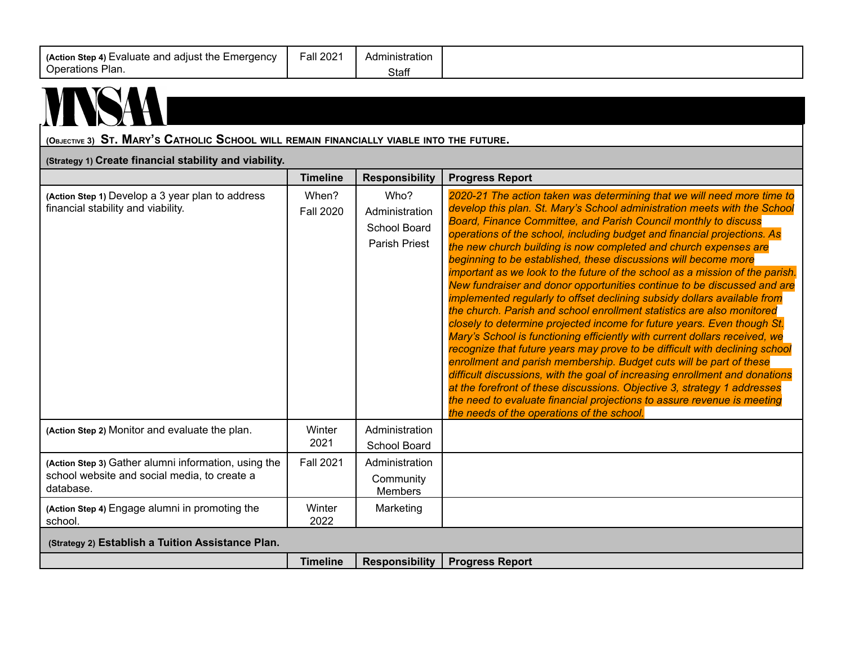| (Action Step 4) Evaluate and adjust the Emergency<br>Operations Plan.                                             | <b>Fall 2021</b>          | Administration<br>Staff                                        |                                                                                                                                                                                                                                                                                                                                                                                                                                                                                                                                                                                                                                                                                                                                                                                                                                                                                                                                                                                                                                                                                                                                                                                                                                                                                                                                                                |  |  |
|-------------------------------------------------------------------------------------------------------------------|---------------------------|----------------------------------------------------------------|----------------------------------------------------------------------------------------------------------------------------------------------------------------------------------------------------------------------------------------------------------------------------------------------------------------------------------------------------------------------------------------------------------------------------------------------------------------------------------------------------------------------------------------------------------------------------------------------------------------------------------------------------------------------------------------------------------------------------------------------------------------------------------------------------------------------------------------------------------------------------------------------------------------------------------------------------------------------------------------------------------------------------------------------------------------------------------------------------------------------------------------------------------------------------------------------------------------------------------------------------------------------------------------------------------------------------------------------------------------|--|--|
| (OBJECTIVE 3) ST. MARY'S CATHOLIC SCHOOL WILL REMAIN FINANCIALLY VIABLE INTO THE FUTURE.                          |                           |                                                                |                                                                                                                                                                                                                                                                                                                                                                                                                                                                                                                                                                                                                                                                                                                                                                                                                                                                                                                                                                                                                                                                                                                                                                                                                                                                                                                                                                |  |  |
| (Strategy 1) Create financial stability and viability.                                                            |                           |                                                                |                                                                                                                                                                                                                                                                                                                                                                                                                                                                                                                                                                                                                                                                                                                                                                                                                                                                                                                                                                                                                                                                                                                                                                                                                                                                                                                                                                |  |  |
|                                                                                                                   | <b>Timeline</b>           | <b>Responsibility</b>                                          | <b>Progress Report</b>                                                                                                                                                                                                                                                                                                                                                                                                                                                                                                                                                                                                                                                                                                                                                                                                                                                                                                                                                                                                                                                                                                                                                                                                                                                                                                                                         |  |  |
| (Action Step 1) Develop a 3 year plan to address<br>financial stability and viability.                            | When?<br><b>Fall 2020</b> | Who?<br>Administration<br>School Board<br><b>Parish Priest</b> | 2020-21 The action taken was determining that we will need more time to<br>develop this plan. St. Mary's School administration meets with the School<br>Board, Finance Committee, and Parish Council monthly to discuss<br>operations of the school, including budget and financial projections. As<br>the new church building is now completed and church expenses are<br>beginning to be established, these discussions will become more<br>important as we look to the future of the school as a mission of the parish.<br>New fundraiser and donor opportunities continue to be discussed and are<br>implemented regularly to offset declining subsidy dollars available from<br>the church. Parish and school enrollment statistics are also monitored<br>closely to determine projected income for future years. Even though St.<br>Mary's School is functioning efficiently with current dollars received, we<br>recognize that future years may prove to be difficult with declining school<br>enrollment and parish membership. Budget cuts will be part of these<br>difficult discussions, with the goal of increasing enrollment and donations<br>at the forefront of these discussions. Objective 3, strategy 1 addresses<br>the need to evaluate financial projections to assure revenue is meeting<br>the needs of the operations of the school. |  |  |
| (Action Step 2) Monitor and evaluate the plan.                                                                    | Winter<br>2021            | Administration<br>School Board                                 |                                                                                                                                                                                                                                                                                                                                                                                                                                                                                                                                                                                                                                                                                                                                                                                                                                                                                                                                                                                                                                                                                                                                                                                                                                                                                                                                                                |  |  |
| (Action Step 3) Gather alumni information, using the<br>school website and social media, to create a<br>database. | <b>Fall 2021</b>          | Administration<br>Community<br>Members                         |                                                                                                                                                                                                                                                                                                                                                                                                                                                                                                                                                                                                                                                                                                                                                                                                                                                                                                                                                                                                                                                                                                                                                                                                                                                                                                                                                                |  |  |
| (Action Step 4) Engage alumni in promoting the<br>school.                                                         | Winter<br>2022            | Marketing                                                      |                                                                                                                                                                                                                                                                                                                                                                                                                                                                                                                                                                                                                                                                                                                                                                                                                                                                                                                                                                                                                                                                                                                                                                                                                                                                                                                                                                |  |  |
| (Strategy 2) Establish a Tuition Assistance Plan.                                                                 |                           |                                                                |                                                                                                                                                                                                                                                                                                                                                                                                                                                                                                                                                                                                                                                                                                                                                                                                                                                                                                                                                                                                                                                                                                                                                                                                                                                                                                                                                                |  |  |
|                                                                                                                   | <b>Timeline</b>           | <b>Responsibility</b>                                          | <b>Progress Report</b>                                                                                                                                                                                                                                                                                                                                                                                                                                                                                                                                                                                                                                                                                                                                                                                                                                                                                                                                                                                                                                                                                                                                                                                                                                                                                                                                         |  |  |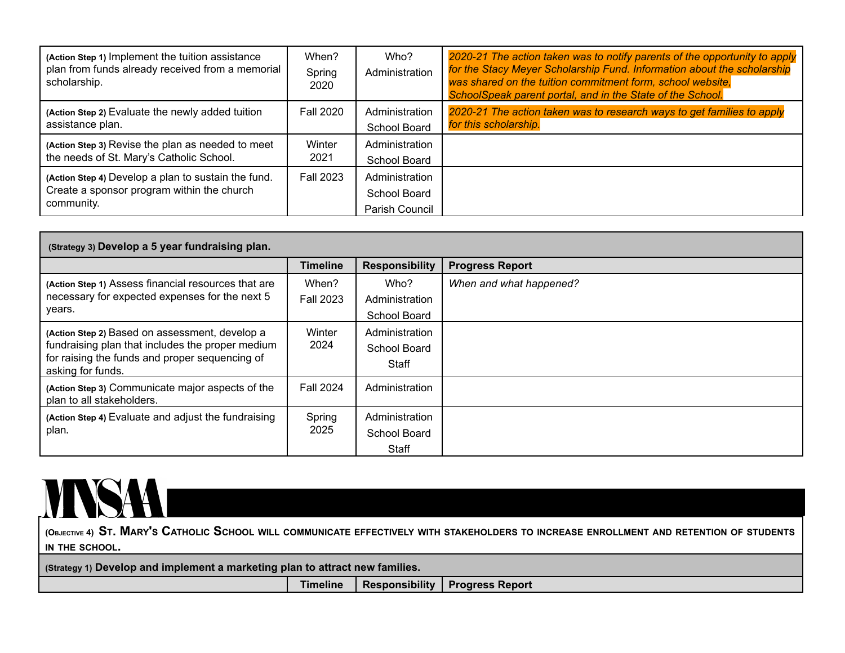| (Action Step 1) Implement the tuition assistance<br>plan from funds already received from a memorial<br>scholarship. | When?<br>Spring<br>2020 | Who?<br>Administration                           | 2020-21 The action taken was to notify parents of the opportunity to apply<br>for the Stacy Meyer Scholarship Fund. Information about the scholarship<br>was shared on the tuition commitment form, school website,<br>SchoolSpeak parent portal, and in the State of the School. |
|----------------------------------------------------------------------------------------------------------------------|-------------------------|--------------------------------------------------|-----------------------------------------------------------------------------------------------------------------------------------------------------------------------------------------------------------------------------------------------------------------------------------|
| (Action Step 2) Evaluate the newly added tuition                                                                     | <b>Fall 2020</b>        | Administration                                   | 2020-21 The action taken was to research ways to get families to apply                                                                                                                                                                                                            |
| assistance plan.                                                                                                     |                         | School Board                                     | for this scholarship.                                                                                                                                                                                                                                                             |
| (Action Step 3) Revise the plan as needed to meet                                                                    | Winter                  | Administration                                   |                                                                                                                                                                                                                                                                                   |
| the needs of St. Mary's Catholic School.                                                                             | 2021                    | School Board                                     |                                                                                                                                                                                                                                                                                   |
| (Action Step 4) Develop a plan to sustain the fund.<br>Create a sponsor program within the church<br>community.      | <b>Fall 2023</b>        | Administration<br>School Board<br>Parish Council |                                                                                                                                                                                                                                                                                   |

| (Strategy 3) Develop a 5 year fundraising plan.                                                                                                                           |                           |                                         |                         |
|---------------------------------------------------------------------------------------------------------------------------------------------------------------------------|---------------------------|-----------------------------------------|-------------------------|
|                                                                                                                                                                           | <b>Timeline</b>           | <b>Responsibility</b>                   | <b>Progress Report</b>  |
| (Action Step 1) Assess financial resources that are<br>necessary for expected expenses for the next 5<br>years.                                                           | When?<br><b>Fall 2023</b> | Who?<br>Administration<br>School Board  | When and what happened? |
| (Action Step 2) Based on assessment, develop a<br>fundraising plan that includes the proper medium<br>for raising the funds and proper sequencing of<br>asking for funds. | Winter<br>2024            | Administration<br>School Board<br>Staff |                         |
| (Action Step 3) Communicate major aspects of the<br>plan to all stakeholders.                                                                                             | <b>Fall 2024</b>          | Administration                          |                         |
| (Action Step 4) Evaluate and adjust the fundraising<br>plan.                                                                                                              | Spring<br>2025            | Administration<br>School Board<br>Staff |                         |

## MSAI

(OBJECTIVE 4) ST. MARY'S CATHOLIC SCHOOL WILL COMMUNICATE EFFECTIVELY WITH STAKEHOLDERS TO INCREASE ENROLLMENT AND RETENTION OF STUDENTS **IN THE SCHOOL.**

**(Strategy 1) Develop and implement a marketing plan to attract new families.**

**Timeline Responsibility Progress Report**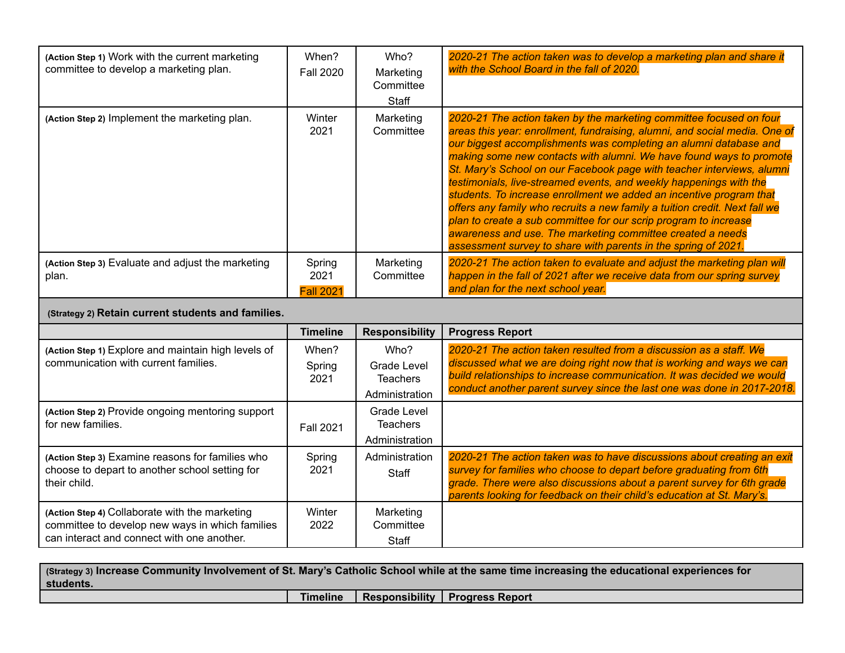| (Action Step 1) Work with the current marketing<br>committee to develop a marketing plan. | When?<br><b>Fall 2020</b>          | Who?<br>Marketing<br>Committee<br>Staff | 2020-21 The action taken was to develop a marketing plan and share it<br>with the School Board in the fall of 2020.                                                                                                                                                                                                                                                                                                                                                                                                                                                                                                                                                                                                                                                                                    |
|-------------------------------------------------------------------------------------------|------------------------------------|-----------------------------------------|--------------------------------------------------------------------------------------------------------------------------------------------------------------------------------------------------------------------------------------------------------------------------------------------------------------------------------------------------------------------------------------------------------------------------------------------------------------------------------------------------------------------------------------------------------------------------------------------------------------------------------------------------------------------------------------------------------------------------------------------------------------------------------------------------------|
| (Action Step 2) Implement the marketing plan.                                             | Winter<br>2021                     | Marketing<br>Committee                  | 2020-21 The action taken by the marketing committee focused on four<br>areas this year: enrollment, fundraising, alumni, and social media. One of<br>our biggest accomplishments was completing an alumni database and<br>making some new contacts with alumni. We have found ways to promote<br>St. Mary's School on our Facebook page with teacher interviews, alumni<br>testimonials, live-streamed events, and weekly happenings with the<br>students. To increase enrollment we added an incentive program that<br>offers any family who recruits a new family a tuition credit. Next fall we<br>plan to create a sub committee for our scrip program to increase<br>awareness and use. The marketing committee created a needs<br>assessment survey to share with parents in the spring of 2021. |
| (Action Step 3) Evaluate and adjust the marketing<br>plan.                                | Spring<br>2021<br><b>Fall 2021</b> | Marketing<br>Committee                  | 2020-21 The action taken to evaluate and adjust the marketing plan will<br>happen in the fall of 2021 after we receive data from our spring survey<br>and plan for the next school year.                                                                                                                                                                                                                                                                                                                                                                                                                                                                                                                                                                                                               |

## **(Strategy 2) Retain current students and families.**

|                                                                                                                                                 | <b>Timeline</b>         | <b>Responsibility</b>                                    | <b>Progress Report</b>                                                                                                                                                                                                                                                                             |
|-------------------------------------------------------------------------------------------------------------------------------------------------|-------------------------|----------------------------------------------------------|----------------------------------------------------------------------------------------------------------------------------------------------------------------------------------------------------------------------------------------------------------------------------------------------------|
| (Action Step 1) Explore and maintain high levels of<br>communication with current families.                                                     | When?<br>Spring<br>2021 | Who?<br>Grade Level<br><b>Teachers</b><br>Administration | 2020-21 The action taken resulted from a discussion as a staff. We<br>discussed what we are doing right now that is working and ways we can<br>build relationships to increase communication. It was decided we would<br>conduct another parent survey since the last one was done in 2017-2018.   |
| (Action Step 2) Provide ongoing mentoring support<br>for new families.                                                                          | <b>Fall 2021</b>        | Grade Level<br><b>Teachers</b><br>Administration         |                                                                                                                                                                                                                                                                                                    |
| (Action Step 3) Examine reasons for families who<br>choose to depart to another school setting for<br>their child.                              | Spring<br>2021          | Administration<br>Staff                                  | 2020-21 The action taken was to have discussions about creating an exit<br>survey for families who choose to depart before graduating from 6th<br>grade. There were also discussions about a parent survey for 6th grade<br>parents looking for feedback on their child's education at St. Mary's. |
| (Action Step 4) Collaborate with the marketing<br>committee to develop new ways in which families<br>can interact and connect with one another. | Winter<br>2022          | Marketing<br>Committee<br>Staff                          |                                                                                                                                                                                                                                                                                                    |

| (Strategy 3) Increase Community Involvement of St. Mary's Catholic School while at the same time increasing the educational experiences for<br>students. |                 |  |                                  |  |
|----------------------------------------------------------------------------------------------------------------------------------------------------------|-----------------|--|----------------------------------|--|
|                                                                                                                                                          | <b>Timeline</b> |  | Responsibility   Progress Report |  |